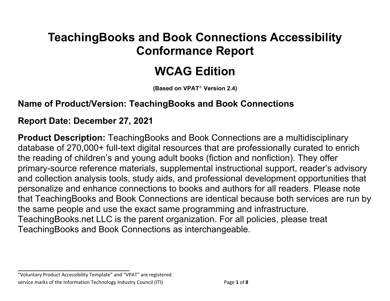## **TeachingBooks and Book Connections Accessibility Conformance Report**

# **WCAG Edition**

**(Based on VPAT**® **Version 2.4)**

### **Name of Product/Version: TeachingBooks and Book Connections**

### **Report Date: December 27, 2021**

**Product Description:** TeachingBooks and Book Connections are a multidisciplinary database of 270,000+ full-text digital resources that are professionally curated to enrich the reading of children's and young adult books (fiction and nonfiction). They offer primary-source reference materials, supplemental instructional support, reader's advisory and collection analysis tools, study aids, and professional development opportunities that personalize and enhance connections to books and authors for all readers. Please note that TeachingBooks and Book Connections are identical because both services are run by the same people and use the exact same programming and infrastructure. TeachingBooks.net LLC is the parent organization. For all policies, please treat TeachingBooks and Book Connections as interchangeable.

**\_\_\_\_\_\_\_\_\_\_\_\_\_\_\_\_\_\_\_\_\_\_\_\_\_\_\_\_\_\_\_\_\_\_**

<sup>&</sup>quot;Voluntary Product Accessibility Template" and "VPAT" are registered service marks of the Information Technology Industry Council (ITI) Page **1** of **8**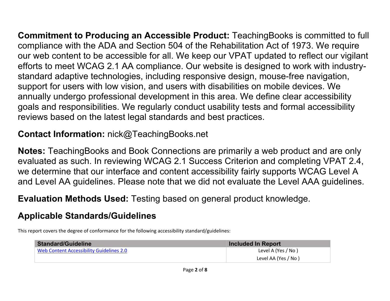**Commitment to Producing an Accessible Product:** TeachingBooks is committed to full compliance with the ADA and Section 504 of the Rehabilitation Act of 1973. We require our web content to be accessible for all. We keep our VPAT updated to reflect our vigilant efforts to meet WCAG 2.1 AA compliance. Our website is designed to work with industrystandard adaptive technologies, including responsive design, mouse-free navigation, support for users with low vision, and users with disabilities on mobile devices. We annually undergo professional development in this area. We define clear accessibility goals and responsibilities. We regularly conduct usability tests and formal accessibility reviews based on the latest legal standards and best practices.

**Contact Information:** nick@TeachingBooks.net

**Notes:** TeachingBooks and Book Connections are primarily a web product and are only evaluated as such. In reviewing WCAG 2.1 Success Criterion and completing VPAT 2.4, we determine that our interface and content accessibility fairly supports WCAG Level A and Level AA guidelines. Please note that we did not evaluate the Level AAA guidelines.

**Evaluation Methods Used:** Testing based on general product knowledge.

## **Applicable Standards/Guidelines**

This report covers the degree of conformance for the following accessibility standard/guidelines:

| <b>Standard/Guideline</b>                | Included In Report   |
|------------------------------------------|----------------------|
| Web Content Accessibility Guidelines 2.0 | Level A (Yes / No)   |
|                                          | Level AA (Yes / No ) |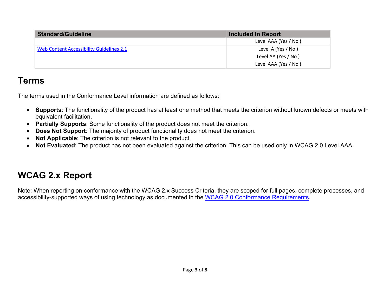| <b>Standard/Guideline</b>                | <b>Included In Report</b> |
|------------------------------------------|---------------------------|
|                                          | Level AAA (Yes / No)      |
| Web Content Accessibility Guidelines 2.1 | Level A (Yes / No)        |
|                                          | Level AA (Yes / No)       |
|                                          | Level AAA (Yes / No)      |

### **Terms**

The terms used in the Conformance Level information are defined as follows:

- **Supports**: The functionality of the product has at least one method that meets the criterion without known defects or meets with equivalent facilitation.
- **Partially Supports**: Some functionality of the product does not meet the criterion.
- **Does Not Support**: The majority of product functionality does not meet the criterion.
- **Not Applicable**: The criterion is not relevant to the product.
- **Not Evaluated**: The product has not been evaluated against the criterion. This can be used only in WCAG 2.0 Level AAA.

## **WCAG 2.x Report**

Note: When reporting on conformance with the WCAG 2.x Success Criteria, they are scoped for full pages, complete processes, and accessibility-supported ways of using technology as documented in the WCAG 2.0 Conformance Requirements.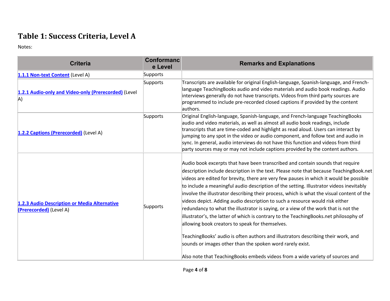## **Table 1: Success Criteria, Level A**

Notes:

| <b>Criteria</b>                                                         | <b>Conformanc</b><br>e Level | <b>Remarks and Explanations</b>                                                                                                                                                                                                                                                                                                                                                                                                                                                                                                                                                                                                                                                                                                                                                                                                                                                                                                                                                                                  |
|-------------------------------------------------------------------------|------------------------------|------------------------------------------------------------------------------------------------------------------------------------------------------------------------------------------------------------------------------------------------------------------------------------------------------------------------------------------------------------------------------------------------------------------------------------------------------------------------------------------------------------------------------------------------------------------------------------------------------------------------------------------------------------------------------------------------------------------------------------------------------------------------------------------------------------------------------------------------------------------------------------------------------------------------------------------------------------------------------------------------------------------|
| 1.1.1 Non-text Content (Level A)                                        | Supports                     |                                                                                                                                                                                                                                                                                                                                                                                                                                                                                                                                                                                                                                                                                                                                                                                                                                                                                                                                                                                                                  |
| 1.2.1 Audio-only and Video-only (Prerecorded) (Level<br>A)              | Supports                     | Transcripts are available for original English-language, Spanish-language, and French-<br>language TeachingBooks audio and video materials and audio book readings. Audio<br>interviews generally do not have transcripts. Videos from third party sources are<br>programmed to include pre-recorded closed captions if provided by the content<br>authors.                                                                                                                                                                                                                                                                                                                                                                                                                                                                                                                                                                                                                                                      |
| 1.2.2 Captions (Prerecorded) (Level A)                                  | Supports                     | Original English-language, Spanish-language, and French-language TeachingBooks<br>audio and video materials, as well as almost all audio book readings, include<br>transcripts that are time-coded and highlight as read aloud. Users can interact by<br>jumping to any spot in the video or audio component, and follow text and audio in<br>sync. In general, audio interviews do not have this function and videos from third<br>party sources may or may not include captions provided by the content authors.                                                                                                                                                                                                                                                                                                                                                                                                                                                                                               |
| 1.2.3 Audio Description or Media Alternative<br>(Prerecorded) (Level A) | Supports                     | Audio book excerpts that have been transcribed and contain sounds that require<br>description include description in the text. Please note that because TeachingBook.net<br>videos are edited for brevity, there are very few pauses in which it would be possible<br>to include a meaningful audio description of the setting. Illustrator videos inevitably<br>involve the illustrator describing their process, which is what the visual content of the<br>videos depict. Adding audio description to such a resource would risk either<br>redundancy to what the illustrator is saying, or a view of the work that is not the<br>illustrator's, the latter of which is contrary to the TeachingBooks.net philosophy of<br>allowing book creators to speak for themselves.<br>TeachingBooks' audio is often authors and illustrators describing their work, and<br>sounds or images other than the spoken word rarely exist.<br>Also note that TeachingBooks embeds videos from a wide variety of sources and |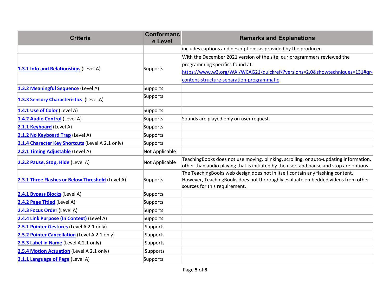| <b>Criteria</b>                                  | <b>Conformanc</b><br>e Level | <b>Remarks and Explanations</b>                                                                                                                                                                  |
|--------------------------------------------------|------------------------------|--------------------------------------------------------------------------------------------------------------------------------------------------------------------------------------------------|
|                                                  |                              | includes captions and descriptions as provided by the producer.                                                                                                                                  |
|                                                  |                              | With the December 2021 version of the site, our programmers reviewed the                                                                                                                         |
|                                                  | Supports                     | programming specifics found at:                                                                                                                                                                  |
| 1.3.1 Info and Relationships (Level A)           |                              | https://www.w3.org/WAI/WCAG21/quickref/?versions=2.0&showtechniques=131#gr-                                                                                                                      |
|                                                  |                              | content-structure-separation-programmatic                                                                                                                                                        |
| 1.3.2 Meaningful Sequence (Level A)              | Supports                     |                                                                                                                                                                                                  |
| 1.3.3 Sensory Characteristics (Level A)          | Supports                     |                                                                                                                                                                                                  |
| 1.4.1 Use of Color (Level A)                     | Supports                     |                                                                                                                                                                                                  |
| 1.4.2 Audio Control (Level A)                    | Supports                     | Sounds are played only on user request.                                                                                                                                                          |
| 2.1.1 Keyboard (Level A)                         | Supports                     |                                                                                                                                                                                                  |
| 2.1.2 No Keyboard Trap (Level A)                 | Supports                     |                                                                                                                                                                                                  |
| 2.1.4 Character Key Shortcuts (Level A 2.1 only) | Supports                     |                                                                                                                                                                                                  |
| 2.2.1 Timing Adjustable (Level A)                | Not Applicable               |                                                                                                                                                                                                  |
| 2.2.2 Pause, Stop, Hide (Level A)                | Not Applicable               | TeachingBooks does not use moving, blinking, scrolling, or auto-updating information,<br>other than audio playing that is initiated by the user, and pause and stop are options.                 |
| 2.3.1 Three Flashes or Below Threshold (Level A) | Supports                     | The TeachingBooks web design does not in itself contain any flashing content.<br>However, TeachingBooks does not thoroughly evaluate embedded videos from other<br>sources for this requirement. |
| 2.4.1 Bypass Blocks (Level A)                    | Supports                     |                                                                                                                                                                                                  |
| 2.4.2 Page Titled (Level A)                      | Supports                     |                                                                                                                                                                                                  |
| 2.4.3 Focus Order (Level A)                      | Supports                     |                                                                                                                                                                                                  |
| 2.4.4 Link Purpose (In Context) (Level A)        | Supports                     |                                                                                                                                                                                                  |
| 2.5.1 Pointer Gestures (Level A 2.1 only)        | Supports                     |                                                                                                                                                                                                  |
| 2.5.2 Pointer Cancellation (Level A 2.1 only)    | Supports                     |                                                                                                                                                                                                  |
| 2.5.3 Label in Name (Level A 2.1 only)           | Supports                     |                                                                                                                                                                                                  |
| 2.5.4 Motion Actuation (Level A 2.1 only)        | Supports                     |                                                                                                                                                                                                  |
| 3.1.1 Language of Page (Level A)                 | Supports                     |                                                                                                                                                                                                  |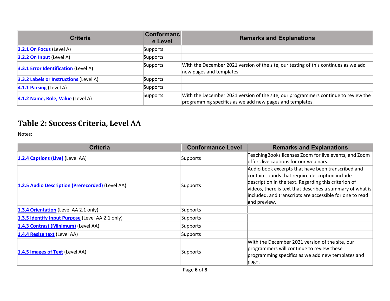| <b>Criteria</b>                               | <b>Conformanc</b><br>e Level | <b>Remarks and Explanations</b>                                                                                                                |
|-----------------------------------------------|------------------------------|------------------------------------------------------------------------------------------------------------------------------------------------|
| $3.2.1$ On Focus (Level A)                    | Supports                     |                                                                                                                                                |
| 3.2.2 On Input (Level A)                      | Supports                     |                                                                                                                                                |
| <b>3.3.1 Error Identification</b> (Level A)   | Supports                     | With the December 2021 version of the site, our testing of this continues as we add<br>new pages and templates.                                |
| <b>3.3.2 Labels or Instructions (Level A)</b> | Supports                     |                                                                                                                                                |
| 4.1.1 Parsing (Level A)                       | Supports                     |                                                                                                                                                |
| 4.1.2 Name, Role, Value (Level A)             | Supports                     | With the December 2021 version of the site, our programmers continue to review the<br>programming specifics as we add new pages and templates. |

## **Table 2: Success Criteria, Level AA**

Notes:

| <b>Criteria</b>                                  | <b>Conformance Level</b> | <b>Remarks and Explanations</b>                                                                                                                                                                                                                                                                        |
|--------------------------------------------------|--------------------------|--------------------------------------------------------------------------------------------------------------------------------------------------------------------------------------------------------------------------------------------------------------------------------------------------------|
| 1.2.4 Captions (Live) (Level AA)                 | Supports                 | TeachingBooks licenses Zoom for live events, and Zoom<br>offers live captions for our webinars.                                                                                                                                                                                                        |
| 1.2.5 Audio Description (Prerecorded) (Level AA) | Supports                 | Audio book excerpts that have been transcribed and<br>contain sounds that require description include<br>description in the text. Regarding this criterion of<br>videos, there is text that describes a summary of what is<br>included, and transcripts are accessible for one to read<br>and preview. |
| 1.3.4 Orientation (Level AA 2.1 only)            | Supports                 |                                                                                                                                                                                                                                                                                                        |
| 1.3.5 Identify Input Purpose (Level AA 2.1 only) | Supports                 |                                                                                                                                                                                                                                                                                                        |
| 1.4.3 Contrast (Minimum) (Level AA)              | Supports                 |                                                                                                                                                                                                                                                                                                        |
| 1.4.4 Resize text (Level AA)                     | Supports                 |                                                                                                                                                                                                                                                                                                        |
| 1.4.5 Images of Text (Level AA)                  | Supports                 | With the December 2021 version of the site, our<br>programmers will continue to review these<br>programming specifics as we add new templates and<br>pages.                                                                                                                                            |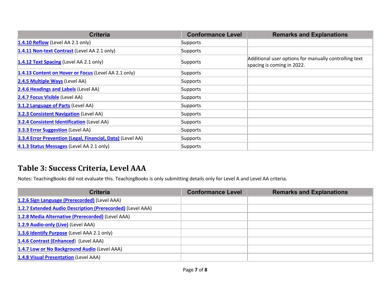| <b>Criteria</b>                                            | <b>Conformance Level</b> | <b>Remarks and Explanations</b>                                                     |
|------------------------------------------------------------|--------------------------|-------------------------------------------------------------------------------------|
| $1.4.10$ Reflow (Level AA 2.1 only)                        | Supports                 |                                                                                     |
| 1.4.11 Non-text Contrast (Level AA 2.1 only)               | Supports                 |                                                                                     |
| 1.4.12 Text Spacing (Level AA 2.1 only)                    | Supports                 | Additional user options for manually controlling text<br>spacing is coming in 2022. |
| 1.4.13 Content on Hover or Focus (Level AA 2.1 only)       | Supports                 |                                                                                     |
| 2.4.5 Multiple Ways (Level AA)                             | Supports                 |                                                                                     |
| 2.4.6 Headings and Labels (Level AA)                       | Supports                 |                                                                                     |
| 2.4.7 Focus Visible (Level AA)                             | Supports                 |                                                                                     |
| 3.1.2 Language of Parts (Level AA)                         | Supports                 |                                                                                     |
| <b>3.2.3 Consistent Navigation (Level AA)</b>              | Supports                 |                                                                                     |
| <b>3.2.4 Consistent Identification (Level AA)</b>          | Supports                 |                                                                                     |
| 3.3.3 Error Suggestion (Level AA)                          | Supports                 |                                                                                     |
| 3.3.4 Error Prevention (Legal, Financial, Data) (Level AA) | Supports                 |                                                                                     |
| 4.1.3 Status Messages (Level AA 2.1 only)                  | Supports                 |                                                                                     |

### **Table 3: Success Criteria, Level AAA**

Notes: TeachingBooks did not evaluate this. TeachingBooks is only submitting details only for Level A and Level AA criteria.

| <b>Criteria</b>                                            | <b>Conformance Level</b> | <b>Remarks and Explanations</b> |
|------------------------------------------------------------|--------------------------|---------------------------------|
| 1.2.6 Sign Language (Prerecorded) (Level AAA)              |                          |                                 |
| 1.2.7 Extended Audio Description (Prerecorded) (Level AAA) |                          |                                 |
| 1.2.8 Media Alternative (Prerecorded) (Level AAA)          |                          |                                 |
| 1.2.9 Audio-only (Live) (Level AAA)                        |                          |                                 |
| 1.3.6 Identify Purpose (Level AAA 2.1 only)                |                          |                                 |
| 1.4.6 Contrast (Enhanced) (Level AAA)                      |                          |                                 |
| 1.4.7 Low or No Background Audio (Level AAA)               |                          |                                 |
| 1.4.8 Visual Presentation (Level AAA)                      |                          |                                 |